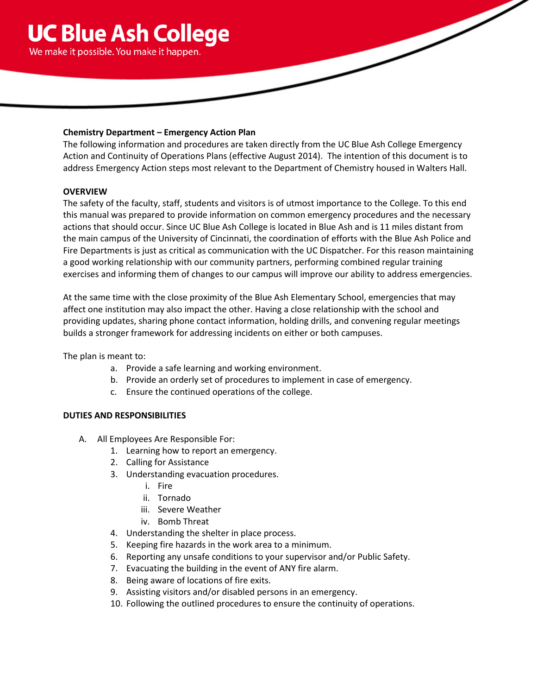

## **Chemistry Department – Emergency Action Plan**

The following information and procedures are taken directly from the UC Blue Ash College Emergency Action and Continuity of Operations Plans (effective August 2014). The intention of this document is to address Emergency Action steps most relevant to the Department of Chemistry housed in Walters Hall.

## **OVERVIEW**

The safety of the faculty, staff, students and visitors is of utmost importance to the College. To this end this manual was prepared to provide information on common emergency procedures and the necessary actions that should occur. Since UC Blue Ash College is located in Blue Ash and is 11 miles distant from the main campus of the University of Cincinnati, the coordination of efforts with the Blue Ash Police and Fire Departments is just as critical as communication with the UC Dispatcher. For this reason maintaining a good working relationship with our community partners, performing combined regular training exercises and informing them of changes to our campus will improve our ability to address emergencies.

At the same time with the close proximity of the Blue Ash Elementary School, emergencies that may affect one institution may also impact the other. Having a close relationship with the school and providing updates, sharing phone contact information, holding drills, and convening regular meetings builds a stronger framework for addressing incidents on either or both campuses.

The plan is meant to:

- a. Provide a safe learning and working environment.
- b. Provide an orderly set of procedures to implement in case of emergency.
- c. Ensure the continued operations of the college.

## **DUTIES AND RESPONSIBILITIES**

- A. All Employees Are Responsible For:
	- 1. Learning how to report an emergency.
	- 2. Calling for Assistance
	- 3. Understanding evacuation procedures.
		- i. Fire
		- ii. Tornado
		- iii. Severe Weather
		- iv. Bomb Threat
	- 4. Understanding the shelter in place process.
	- 5. Keeping fire hazards in the work area to a minimum.
	- 6. Reporting any unsafe conditions to your supervisor and/or Public Safety.
	- 7. Evacuating the building in the event of ANY fire alarm.
	- 8. Being aware of locations of fire exits.
	- 9. Assisting visitors and/or disabled persons in an emergency.
	- 10. Following the outlined procedures to ensure the continuity of operations.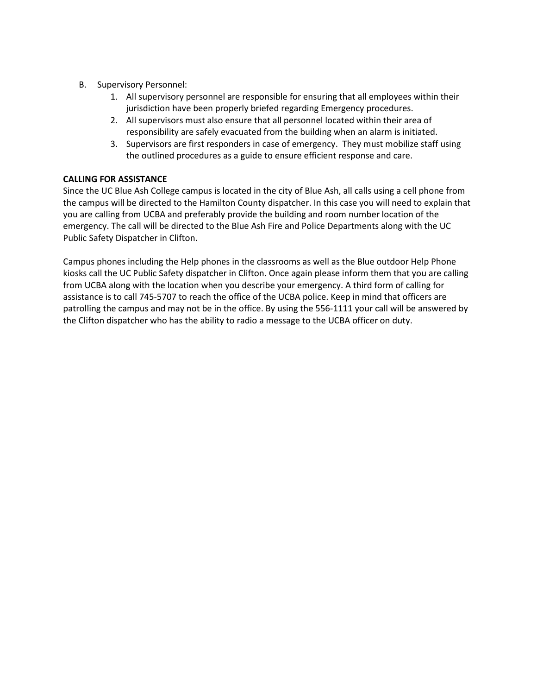- B. Supervisory Personnel:
	- 1. All supervisory personnel are responsible for ensuring that all employees within their jurisdiction have been properly briefed regarding Emergency procedures.
	- 2. All supervisors must also ensure that all personnel located within their area of responsibility are safely evacuated from the building when an alarm is initiated.
	- 3. Supervisors are first responders in case of emergency. They must mobilize staff using the outlined procedures as a guide to ensure efficient response and care.

## **CALLING FOR ASSISTANCE**

Since the UC Blue Ash College campus is located in the city of Blue Ash, all calls using a cell phone from the campus will be directed to the Hamilton County dispatcher. In this case you will need to explain that you are calling from UCBA and preferably provide the building and room number location of the emergency. The call will be directed to the Blue Ash Fire and Police Departments along with the UC Public Safety Dispatcher in Clifton.

Campus phones including the Help phones in the classrooms as well as the Blue outdoor Help Phone kiosks call the UC Public Safety dispatcher in Clifton. Once again please inform them that you are calling from UCBA along with the location when you describe your emergency. A third form of calling for assistance is to call 745-5707 to reach the office of the UCBA police. Keep in mind that officers are patrolling the campus and may not be in the office. By using the 556-1111 your call will be answered by the Clifton dispatcher who has the ability to radio a message to the UCBA officer on duty.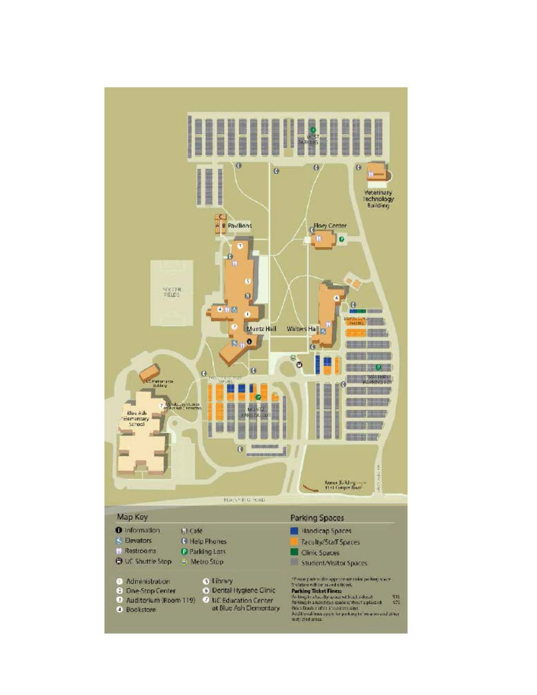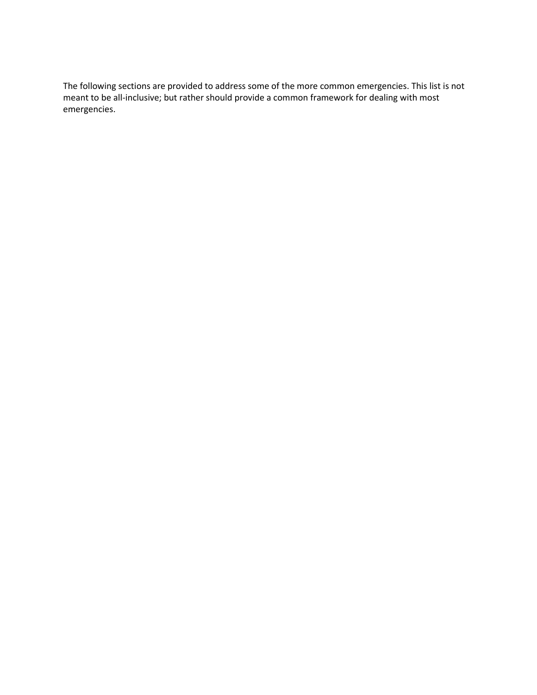The following sections are provided to address some of the more common emergencies. This list is not meant to be all-inclusive; but rather should provide a common framework for dealing with most emergencies.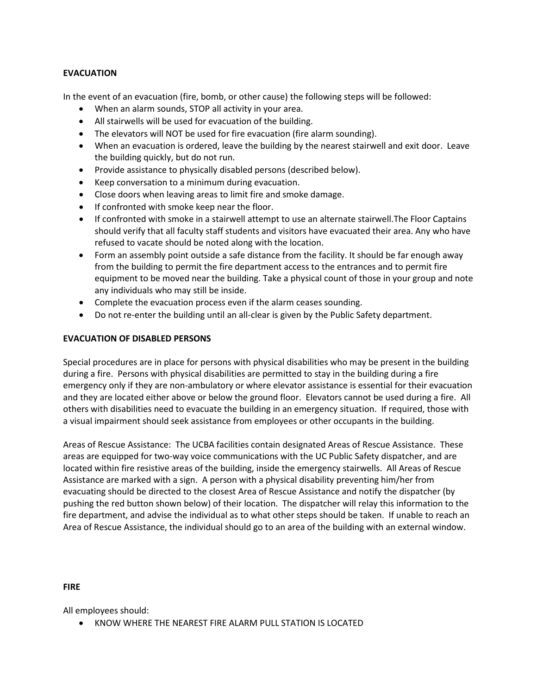## **EVACUATION**

In the event of an evacuation (fire, bomb, or other cause) the following steps will be followed:

- When an alarm sounds, STOP all activity in your area.
- All stairwells will be used for evacuation of the building.
- The elevators will NOT be used for fire evacuation (fire alarm sounding).
- When an evacuation is ordered, leave the building by the nearest stairwell and exit door. Leave the building quickly, but do not run.
- Provide assistance to physically disabled persons (described below).
- Keep conversation to a minimum during evacuation.
- Close doors when leaving areas to limit fire and smoke damage.
- If confronted with smoke keep near the floor.
- If confronted with smoke in a stairwell attempt to use an alternate stairwell.The Floor Captains should verify that all faculty staff students and visitors have evacuated their area. Any who have refused to vacate should be noted along with the location.
- Form an assembly point outside a safe distance from the facility. It should be far enough away from the building to permit the fire department access to the entrances and to permit fire equipment to be moved near the building. Take a physical count of those in your group and note any individuals who may still be inside.
- Complete the evacuation process even if the alarm ceases sounding.
- Do not re-enter the building until an all-clear is given by the Public Safety department.

## **EVACUATION OF DISABLED PERSONS**

Special procedures are in place for persons with physical disabilities who may be present in the building during a fire. Persons with physical disabilities are permitted to stay in the building during a fire emergency only if they are non-ambulatory or where elevator assistance is essential for their evacuation and they are located either above or below the ground floor. Elevators cannot be used during a fire. All others with disabilities need to evacuate the building in an emergency situation. If required, those with a visual impairment should seek assistance from employees or other occupants in the building.

Areas of Rescue Assistance: The UCBA facilities contain designated Areas of Rescue Assistance. These areas are equipped for two-way voice communications with the UC Public Safety dispatcher, and are located within fire resistive areas of the building, inside the emergency stairwells. All Areas of Rescue Assistance are marked with a sign. A person with a physical disability preventing him/her from evacuating should be directed to the closest Area of Rescue Assistance and notify the dispatcher (by pushing the red button shown below) of their location. The dispatcher will relay this information to the fire department, and advise the individual as to what other steps should be taken. If unable to reach an Area of Rescue Assistance, the individual should go to an area of the building with an external window.

#### **FIRE**

All employees should:

• KNOW WHERE THE NEAREST FIRE ALARM PULL STATION IS LOCATED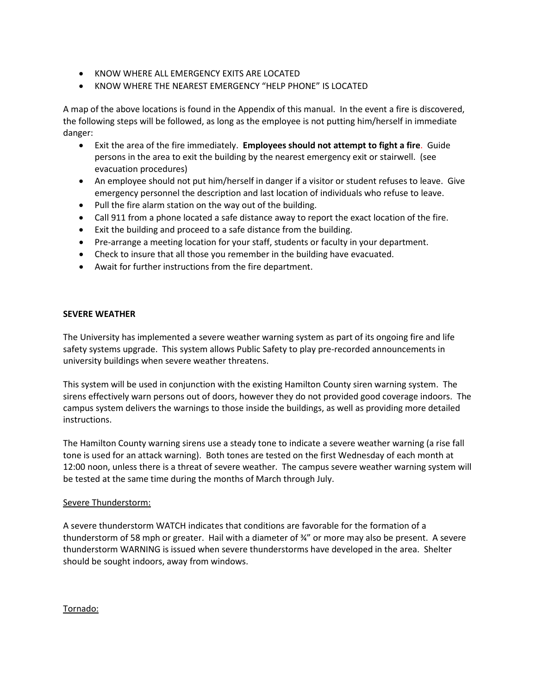- KNOW WHERE ALL EMERGENCY EXITS ARE LOCATED
- KNOW WHERE THE NEAREST EMERGENCY "HELP PHONE" IS LOCATED

A map of the above locations is found in the Appendix of this manual. In the event a fire is discovered, the following steps will be followed, as long as the employee is not putting him/herself in immediate danger:

- Exit the area of the fire immediately. **Employees should not attempt to fight a fire**. Guide persons in the area to exit the building by the nearest emergency exit or stairwell. (see evacuation procedures)
- An employee should not put him/herself in danger if a visitor or student refuses to leave. Give emergency personnel the description and last location of individuals who refuse to leave.
- Pull the fire alarm station on the way out of the building.
- Call 911 from a phone located a safe distance away to report the exact location of the fire.
- Exit the building and proceed to a safe distance from the building.
- Pre-arrange a meeting location for your staff, students or faculty in your department.
- Check to insure that all those you remember in the building have evacuated.
- Await for further instructions from the fire department.

## **SEVERE WEATHER**

The University has implemented a severe weather warning system as part of its ongoing fire and life safety systems upgrade. This system allows Public Safety to play pre-recorded announcements in university buildings when severe weather threatens.

This system will be used in conjunction with the existing Hamilton County siren warning system. The sirens effectively warn persons out of doors, however they do not provided good coverage indoors. The campus system delivers the warnings to those inside the buildings, as well as providing more detailed instructions.

The Hamilton County warning sirens use a steady tone to indicate a severe weather warning (a rise fall tone is used for an attack warning). Both tones are tested on the first Wednesday of each month at 12:00 noon, unless there is a threat of severe weather. The campus severe weather warning system will be tested at the same time during the months of March through July.

#### Severe Thunderstorm:

A severe thunderstorm WATCH indicates that conditions are favorable for the formation of a thunderstorm of 58 mph or greater. Hail with a diameter of ¾" or more may also be present. A severe thunderstorm WARNING is issued when severe thunderstorms have developed in the area. Shelter should be sought indoors, away from windows.

#### Tornado: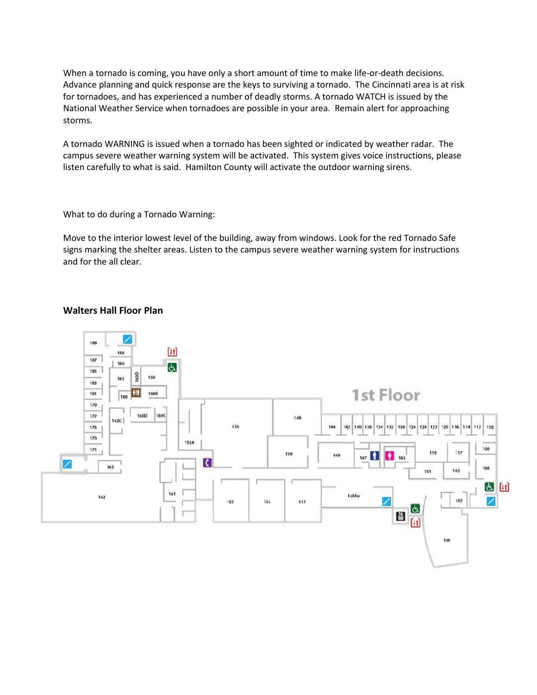When a tornado is coming, you have only a short amount of time to make life-or-death decisions. Advance planning and quick response are the keys to surviving a tornado. The Cincinnati area is at risk for tornadoes, and has experienced a number of deadly storms. A tornado WATCH is issued by the National Weather Service when tornadoes are possible in your area. Remain alert for approaching storms.

A tornado WARNING is issued when a tornado has been sighted or indicated by weather radar. The campus severe weather warning system will be activated. This system gives voice instructions, please listen carefully to what is said. Hamilton County will activate the outdoor warning sirens.

What to do during a Tornado Warning:

Move to the interior lowest level of the building, away from windows. Look for the red Tornado Safe signs marking the shelter areas. Listen to the campus severe weather warning system for instructions and for the all clear.

# **Walters Hall Floor Plan**

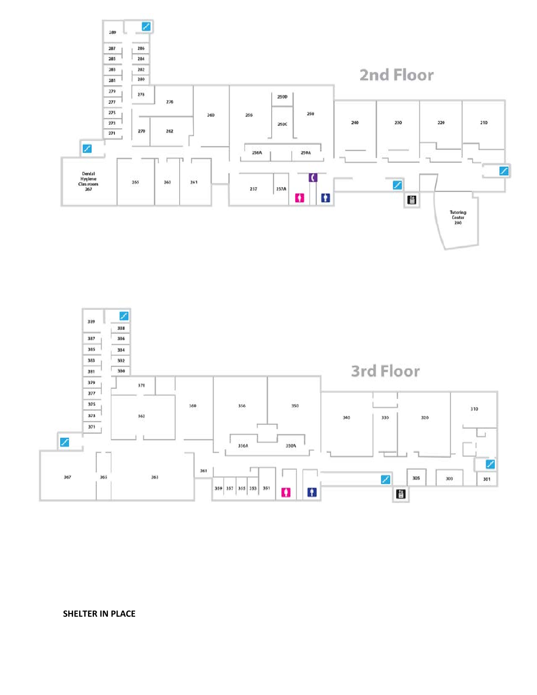



**SHELTER IN PLACE**